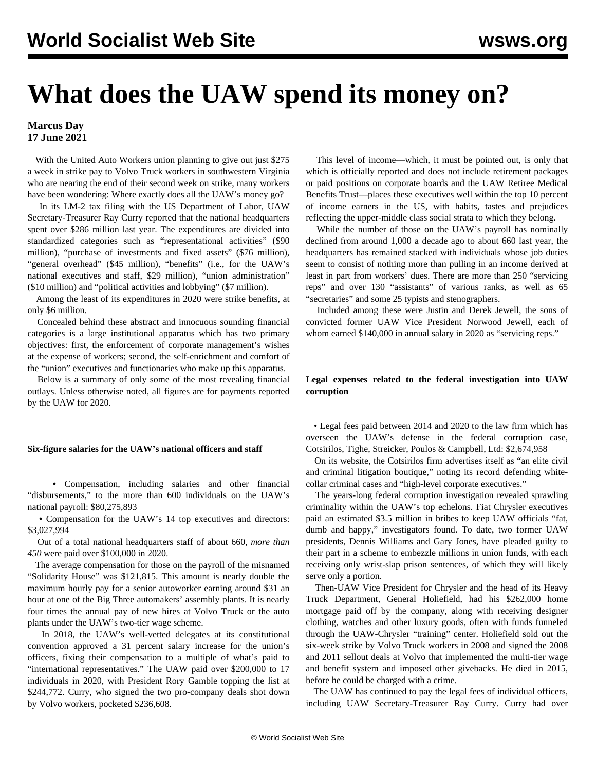# **What does the UAW spend its money on?**

## **Marcus Day 17 June 2021**

 With the United Auto Workers union planning to give out just \$275 a week in strike pay to Volvo Truck workers in southwestern Virginia who are nearing the end of their second week on strike, many workers have been wondering: Where exactly does all the UAW's money go?

 In its [LM-2 tax filing](https://olmsapps.dol.gov/query/orgReport.do?rptId=752003&rptForm=LM2Form) with the US Department of Labor, UAW Secretary-Treasurer Ray Curry reported that the national headquarters spent over \$286 million last year. The expenditures are divided into standardized categories such as "representational activities" (\$90 million), "purchase of investments and fixed assets" (\$76 million), "general overhead" (\$45 million), "benefits" (i.e., for the UAW's national executives and staff, \$29 million), "union administration" (\$10 million) and "political activities and lobbying" (\$7 million).

 Among the least of its expenditures in 2020 were strike benefits, at only \$6 million.

 Concealed behind these abstract and innocuous sounding financial categories is a large institutional apparatus which has two primary objectives: first, the enforcement of corporate management's wishes at the expense of workers; second, the self-enrichment and comfort of the "union" executives and functionaries who make up this apparatus.

 Below is a summary of only some of the most revealing financial outlays. Unless otherwise noted, all figures are for payments reported by the UAW for 2020.

#### **Six-figure salaries for the UAW's national officers and staff**

 **•** Compensation, including salaries and other financial "disbursements," to the more than 600 individuals on the UAW's national payroll: \$80,275,893

 **•** Compensation for the UAW's 14 top executives and directors: \$3,027,994

 Out of a total national headquarters staff of about 660, *more than 450* were paid over \$100,000 in 2020.

 The average compensation for those on the payroll of the misnamed "Solidarity House" was \$121,815. This amount is nearly double the maximum hourly pay for a senior autoworker earning around \$31 an hour at one of the Big Three automakers' assembly plants. It is nearly four times the annual pay of new hires at Volvo Truck or the auto plants under the UAW's two-tier wage scheme.

 In 2018, the UAW's well-vetted delegates at its constitutional convention approved a 31 percent salary increase for the union's officers, fixing their compensation to a multiple of what's paid to "international representatives." The UAW paid over \$200,000 to 17 individuals in 2020, with President Rory Gamble topping the list at \$244,772. Curry, who signed the two pro-company deals shot down by Volvo workers, pocketed \$236,608.

 This level of income—which, it must be pointed out, is only that which is officially reported and does not include retirement packages or paid positions on corporate boards and the UAW Retiree Medical Benefits Trust—places these executives well within the top 10 percent of income earners in the US, with habits, tastes and prejudices reflecting the upper-middle class social strata to which they belong.

 While the number of those on the UAW's payroll has nominally declined from around 1,000 a decade ago to about 660 last year, the headquarters has remained stacked with individuals whose job duties seem to consist of nothing more than pulling in an income derived at least in part from workers' dues. There are more than 250 "servicing reps" and over 130 "assistants" of various ranks, as well as 65 "secretaries" and some 25 typists and stenographers.

 Included among these were Justin and Derek Jewell, the sons of convicted former UAW Vice President [Norwood Jewell](/en/articles/2020/01/23/jewe-j23.html), each of whom earned \$140,000 in annual salary in 2020 as "servicing reps."

#### **Legal expenses related to the federal investigation into UAW corruption**

 • Legal fees paid between 2014 and 2020 to the law firm which has overseen the UAW's defense in the federal corruption case, Cotsirilos, Tighe, Streicker, Poulos & Campbell, Ltd: \$2,674,958

 On its website, the Cotsirilos firm advertises itself as "an elite civil and criminal litigation boutique," noting its record defending whitecollar criminal cases and "high-level corporate executives."

 The years-long federal corruption investigation revealed sprawling criminality within the UAW's top echelons. Fiat Chrysler executives paid an estimated \$3.5 million in bribes to keep UAW officials "fat, dumb and happy," investigators found. To date, two former UAW presidents, [Dennis Williams](/en/articles/2021/05/06/pers-m06.html) and [Gary Jones](/en/articles/2021/06/11/jone-j11.html), have pleaded guilty to their part in a scheme to embezzle millions in union funds, with each receiving only wrist-slap prison sentences, of which they will likely serve only a portion.

 Then-UAW Vice President for Chrysler and the head of its Heavy Truck Department, General Holiefield, had his \$262,000 home mortgage paid off by the company, along with receiving designer clothing, watches and other luxury goods, often with funds funneled through the UAW-Chrysler "training" center. Holiefield sold out the six-week strike by Volvo Truck workers in 2008 and signed the 2008 and 2011 sellout deals at Volvo that implemented the multi-tier wage and benefit system and imposed other givebacks. He died in 2015, before he could be charged with a crime.

 The UAW has continued to pay the legal fees of individual officers, including UAW Secretary-Treasurer Ray Curry. Curry had over